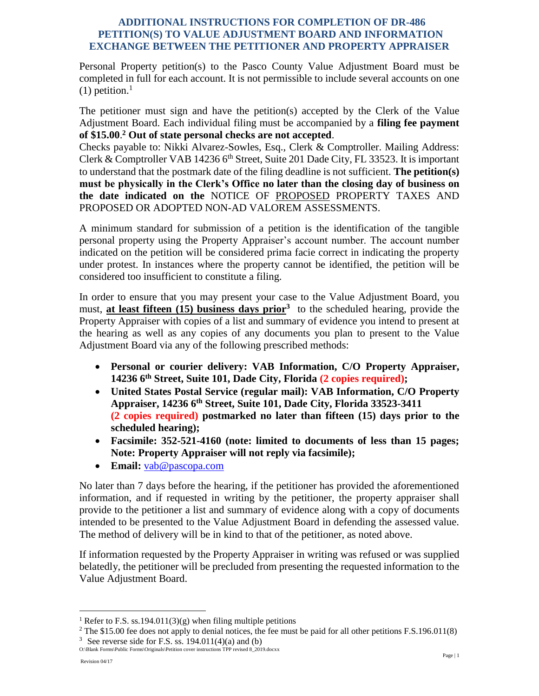## **ADDITIONAL INSTRUCTIONS FOR COMPLETION OF DR-486 PETITION(S) TO VALUE ADJUSTMENT BOARD AND INFORMATION EXCHANGE BETWEEN THE PETITIONER AND PROPERTY APPRAISER**

Personal Property petition(s) to the Pasco County Value Adjustment Board must be completed in full for each account. It is not permissible to include several accounts on one  $(1)$  petition.<sup>1</sup>

The petitioner must sign and have the petition(s) accepted by the Clerk of the Value Adjustment Board. Each individual filing must be accompanied by a **filing fee payment of \$15.00**. **<sup>2</sup> Out of state personal checks are not accepted**.

Checks payable to: Nikki Alvarez-Sowles, Esq., Clerk & Comptroller. Mailing Address: Clerk & Comptroller VAB 14236  $6<sup>th</sup>$  Street, Suite 201 Dade City, FL 33523. It is important to understand that the postmark date of the filing deadline is not sufficient. **The petition(s) must be physically in the Clerk's Office no later than the closing day of business on the date indicated on the** NOTICE OF PROPOSED PROPERTY TAXES AND PROPOSED OR ADOPTED NON-AD VALOREM ASSESSMENTS.

A minimum standard for submission of a petition is the identification of the tangible personal property using the Property Appraiser's account number. The account number indicated on the petition will be considered prima facie correct in indicating the property under protest. In instances where the property cannot be identified, the petition will be considered too insufficient to constitute a filing.

In order to ensure that you may present your case to the Value Adjustment Board, you must, **at least fifteen (15) business days prior<sup>3</sup>** to the scheduled hearing, provide the Property Appraiser with copies of a list and summary of evidence you intend to present at the hearing as well as any copies of any documents you plan to present to the Value Adjustment Board via any of the following prescribed methods:

- **Personal or courier delivery: VAB Information, C/O Property Appraiser, 14236 6th Street, Suite 101, Dade City, Florida (2 copies required);**
- **United States Postal Service (regular mail): VAB Information, C/O Property Appraiser, 14236 6th Street, Suite 101, Dade City, Florida 33523-3411 (2 copies required) postmarked no later than fifteen (15) days prior to the scheduled hearing);**
- **Facsimile: 352-521-4160 (note: limited to documents of less than 15 pages; Note: Property Appraiser will not reply via facsimile);**
- **Email:** [vab@pascopa.com](mailto:vab@pascopa.com)

No later than 7 days before the hearing, if the petitioner has provided the aforementioned information, and if requested in writing by the petitioner, the property appraiser shall provide to the petitioner a list and summary of evidence along with a copy of documents intended to be presented to the Value Adjustment Board in defending the assessed value. The method of delivery will be in kind to that of the petitioner, as noted above.

If information requested by the Property Appraiser in writing was refused or was supplied belatedly, the petitioner will be precluded from presenting the requested information to the Value Adjustment Board.

 $\overline{a}$ 

<sup>&</sup>lt;sup>1</sup> Refer to F.S. ss.194.011(3)(g) when filing multiple petitions

<sup>&</sup>lt;sup>2</sup> The \$15.00 fee does not apply to denial notices, the fee must be paid for all other petitions F.S.196.011(8) <sup>3</sup> See reverse side for F.S. ss.  $194.011(4)(a)$  and (b)

O:\Blank Forms\Public Forms\Originals\Petition cover instructions TPP revised 8\_2019.docxx